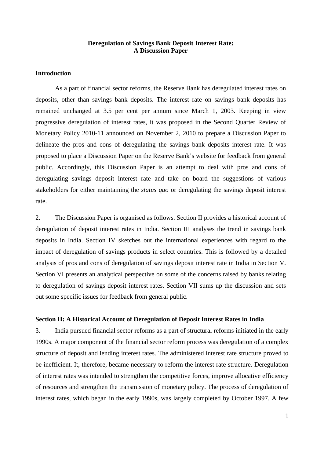# **Deregulation of Savings Bank Deposit Interest Rate: A Discussion Paper**

# **Introduction**

 As a part of financial sector reforms, the Reserve Bank has deregulated interest rates on deposits, other than savings bank deposits. The interest rate on savings bank deposits has remained unchanged at 3.5 per cent per annum since March 1, 2003. Keeping in view progressive deregulation of interest rates, it was proposed in the Second Quarter Review of Monetary Policy 2010-11 announced on November 2, 2010 to prepare a Discussion Paper to delineate the pros and cons of deregulating the savings bank deposits interest rate. It was proposed to place a Discussion Paper on the Reserve Bank's website for feedback from general public. Accordingly, this Discussion Paper is an attempt to deal with pros and cons of deregulating savings deposit interest rate and take on board the suggestions of various stakeholders for either maintaining the *status quo* or deregulating the savings deposit interest rate.

2. The Discussion Paper is organised as follows. Section II provides a historical account of deregulation of deposit interest rates in India. Section III analyses the trend in savings bank deposits in India. Section IV sketches out the international experiences with regard to the impact of deregulation of savings products in select countries. This is followed by a detailed analysis of pros and cons of deregulation of savings deposit interest rate in India in Section V. Section VI presents an analytical perspective on some of the concerns raised by banks relating to deregulation of savings deposit interest rates. Section VII sums up the discussion and sets out some specific issues for feedback from general public.

# **Section II: A Historical Account of Deregulation of Deposit Interest Rates in India**

3. India pursued financial sector reforms as a part of structural reforms initiated in the early 1990s. A major component of the financial sector reform process was deregulation of a complex structure of deposit and lending interest rates. The administered interest rate structure proved to be inefficient. It, therefore, became necessary to reform the interest rate structure. Deregulation of interest rates was intended to strengthen the competitive forces, improve allocative efficiency of resources and strengthen the transmission of monetary policy. The process of deregulation of interest rates, which began in the early 1990s, was largely completed by October 1997. A few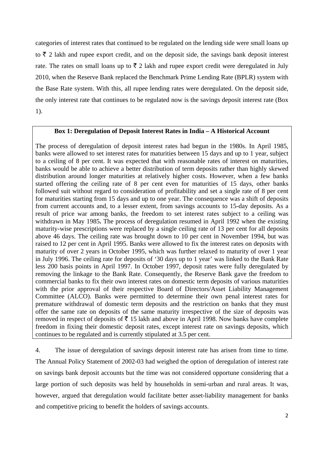categories of interest rates that continued to be regulated on the lending side were small loans up to  $\bar{\tau}$  2 lakh and rupee export credit, and on the deposit side, the savings bank deposit interest rate. The rates on small loans up to  $\bar{\tau}$  2 lakh and rupee export credit were deregulated in July 2010, when the Reserve Bank replaced the Benchmark Prime Lending Rate (BPLR) system with the Base Rate system. With this, all rupee lending rates were deregulated. On the deposit side, the only interest rate that continues to be regulated now is the savings deposit interest rate (Box 1).

# **Box 1: Deregulation of Deposit Interest Rates in India – A Historical Account**

The process of deregulation of deposit interest rates had begun in the 1980s. In April 1985, banks were allowed to set interest rates for maturities between 15 days and up to 1 year, subject to a ceiling of 8 per cent. It was expected that with reasonable rates of interest on maturities, banks would be able to achieve a better distribution of term deposits rather than highly skewed distribution around longer maturities at relatively higher costs. However, when a few banks started offering the ceiling rate of 8 per cent even for maturities of 15 days, other banks followed suit without regard to consideration of profitability and set a single rate of 8 per cent for maturities starting from 15 days and up to one year. The consequence was a shift of deposits from current accounts and, to a lesser extent, from savings accounts to 15-day deposits. As a result of price war among banks, the freedom to set interest rates subject to a ceiling was withdrawn in May 1985**.** The process of deregulation resumed in April 1992 when the existing maturity-wise prescriptions were replaced by a single ceiling rate of 13 per cent for all deposits above 46 days. The ceiling rate was brought down to 10 per cent in November 1994, but was raised to 12 per cent in April 1995. Banks were allowed to fix the interest rates on deposits with maturity of over 2 years in October 1995, which was further relaxed to maturity of over 1 year in July 1996. The ceiling rate for deposits of '30 days up to 1 year' was linked to the Bank Rate less 200 basis points in April 1997. In October 1997, deposit rates were fully deregulated by removing the linkage to the Bank Rate. Consequently, the Reserve Bank gave the freedom to commercial banks to fix their own interest rates on domestic term deposits of various maturities with the prior approval of their respective Board of Directors/Asset Liability Management Committee (ALCO). Banks were permitted to determine their own penal interest rates for premature withdrawal of domestic term deposits and the restriction on banks that they must offer the same rate on deposits of the same maturity irrespective of the size of deposits was removed in respect of deposits of  $\bar{\tau}$  15 lakh and above in April 1998. Now banks have complete freedom in fixing their domestic deposit rates, except interest rate on savings deposits, which continues to be regulated and is currently stipulated at 3.5 per cent.

4. The issue of deregulation of savings deposit interest rate has arisen from time to time. The Annual Policy Statement of 2002-03 had weighed the option of deregulation of interest rate on savings bank deposit accounts but the time was not considered opportune considering that a large portion of such deposits was held by households in semi-urban and rural areas. It was, however, argued that deregulation would facilitate better asset-liability management for banks and competitive pricing to benefit the holders of savings accounts.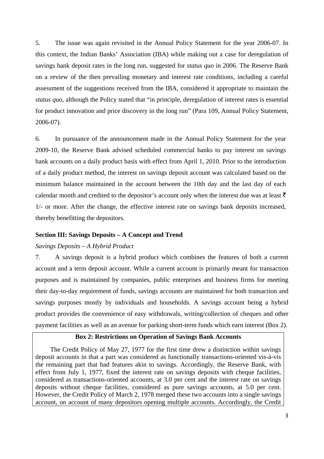5. The issue was again revisited in the Annual Policy Statement for the year 2006-07. In this context, the Indian Banks' Association (IBA) while making out a case for deregulation of savings bank deposit rates in the long run, suggested for *status quo* in 2006. The Reserve Bank on a review of the then prevailing monetary and interest rate conditions, including a careful assessment of the suggestions received from the IBA, considered it appropriate to maintain the *status quo*, although the Policy stated that "in principle, deregulation of interest rates is essential for product innovation and price discovery in the long run" (Para 109, Annual Policy Statement, 2006-07).

6. In pursuance of the announcement made in the Annual Policy Statement for the year 2009-10, the Reserve Bank advised scheduled commercial banks to pay interest on savings bank accounts on a daily product basis with effect from April 1, 2010. Prior to the introduction of a daily product method, the interest on savings deposit account was calculated based on the minimum balance maintained in the account between the 10th day and the last day of each calendar month and credited to the depositor's account only when the interest due was at least  $\bar{\tau}$ 1/- or more. After the change, the effective interest rate on savings bank deposits increased, thereby benefitting the depositors.

## **Section III: Savings Deposits – A Concept and Trend**

## *Savings Deposits – A Hybrid Product*

7. A savings deposit is a hybrid product which combines the features of both a current account and a term deposit account. While a current account is primarily meant for transaction purposes and is maintained by companies, public enterprises and business firms for meeting their day-to-day requirement of funds, savings accounts are maintained for both transaction and savings purposes mostly by individuals and households. A savings account being a hybrid product provides the convenience of easy withdrawals, writing/collection of cheques and other payment facilities as well as an avenue for parking short-term funds which earn interest (Box 2).

# **Box 2: Restrictions on Operation of Savings Bank Accounts**

The Credit Policy of May 27, 1977 for the first time drew a distinction within savings deposit accounts in that a part was considered as functionally transactions-oriented vis-à-vis the remaining part that had features akin to savings. Accordingly, the Reserve Bank, with effect from July 1, 1977, fixed the interest rate on savings deposits with cheque facilities, considered as transactions-oriented accounts, at 3.0 per cent and the interest rate on savings deposits without cheque facilities, considered as pure savings accounts, at 5.0 per cent. However, the Credit Policy of March 2, 1978 merged these two accounts into a single savings account, on account of many depositors opening multiple accounts. Accordingly, the Credit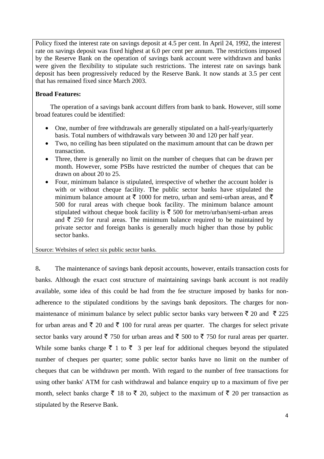Policy fixed the interest rate on savings deposit at 4.5 per cent. In April 24, 1992, the interest rate on savings deposit was fixed highest at 6.0 per cent per annum. The restrictions imposed by the Reserve Bank on the operation of savings bank account were withdrawn and banks were given the flexibility to stipulate such restrictions. The interest rate on savings bank deposit has been progressively reduced by the Reserve Bank. It now stands at 3.5 per cent that has remained fixed since March 2003.

# **Broad Features:**

The operation of a savings bank account differs from bank to bank. However, still some broad features could be identified:

- One, number of free withdrawals are generally stipulated on a half-yearly/quarterly basis. Total numbers of withdrawals vary between 30 and 120 per half year.
- Two, no ceiling has been stipulated on the maximum amount that can be drawn per transaction.
- Three, there is generally no limit on the number of cheques that can be drawn per month. However, some PSBs have restricted the number of cheques that can be drawn on about 20 to 25.
- Four, minimum balance is stipulated, irrespective of whether the account holder is with or without cheque facility. The public sector banks have stipulated the minimum balance amount at  $\bar{\tau}$  1000 for metro, urban and semi-urban areas, and  $\bar{\tau}$ 500 for rural areas with cheque book facility. The minimum balance amount stipulated without cheque book facility is  $\bar{\tau}$  500 for metro/urban/semi-urban areas and  $\bar{\tau}$  250 for rural areas. The minimum balance required to be maintained by private sector and foreign banks is generally much higher than those by public sector banks.

Source: Websites of select six public sector banks.

8**.** The maintenance of savings bank deposit accounts, however, entails transaction costs for banks. Although the exact cost structure of maintaining savings bank account is not readily available, some idea of this could be had from the fee structure imposed by banks for nonadherence to the stipulated conditions by the savings bank depositors. The charges for nonmaintenance of minimum balance by select public sector banks vary between  $\bar{\tau}$  20 and  $\bar{\tau}$  225 for urban areas and  $\bar{\tau}$  20 and  $\bar{\tau}$  100 for rural areas per quarter. The charges for select private sector banks vary around  $\bar{\tau}$  750 for urban areas and  $\bar{\tau}$  500 to  $\bar{\tau}$  750 for rural areas per quarter. While some banks charge  $\bar{\tau}$  1 to  $\bar{\tau}$  3 per leaf for additional cheques beyond the stipulated number of cheques per quarter; some public sector banks have no limit on the number of cheques that can be withdrawn per month. With regard to the number of free transactions for using other banks' ATM for cash withdrawal and balance enquiry up to a maximum of five per month, select banks charge  $\bar{\xi}$  18 to  $\bar{\xi}$  20, subject to the maximum of  $\bar{\xi}$  20 per transaction as stipulated by the Reserve Bank.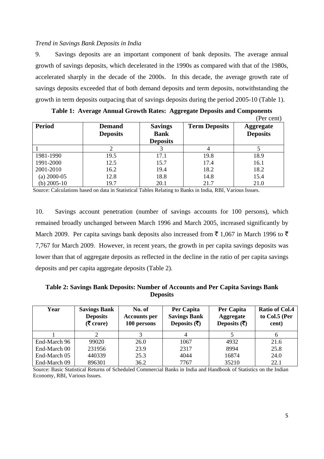# *Trend in Savings Bank Deposits in India*

9. Savings deposits are an important component of bank deposits. The average annual growth of savings deposits, which decelerated in the 1990s as compared with that of the 1980s, accelerated sharply in the decade of the 2000s. In this decade, the average growth rate of savings deposits exceeded that of both demand deposits and term deposits, notwithstanding the growth in term deposits outpacing that of savings deposits during the period 2005-10 (Table 1).

|                 |                                  |                                                  |                      | (Per cent)                          |
|-----------------|----------------------------------|--------------------------------------------------|----------------------|-------------------------------------|
| <b>Period</b>   | <b>Demand</b><br><b>Deposits</b> | <b>Savings</b><br><b>Bank</b><br><b>Deposits</b> | <b>Term Deposits</b> | <b>Aggregate</b><br><b>Deposits</b> |
|                 |                                  |                                                  |                      |                                     |
| 1981-1990       | 19.5                             | 17.1                                             | 19.8                 | 18.9                                |
| 1991-2000       | 12.5                             | 15.7                                             | 17.4                 | 16.1                                |
| 2001-2010       | 16.2                             | 19.4                                             | 18.2                 | 18.2                                |
| $(a)$ 2000-05   | 12.8                             | 18.8                                             | 14.8                 | 15.4                                |
| (b) $2005 - 10$ | 19.7                             | 20.1                                             | 21.7                 | 21.0                                |

| Table 1: Average Annual Growth Rates: Aggregate Deposits and Components |  |  |
|-------------------------------------------------------------------------|--|--|
|-------------------------------------------------------------------------|--|--|

Source: Calculations based on data in Statistical Tables Relating to Banks in India, RBI, Various Issues.

10. Savings account penetration (number of savings accounts for 100 persons), which remained broadly unchanged between March 1996 and March 2005, increased significantly by March 2009. Per capita savings bank deposits also increased from  $\bar{\tau}$  1,067 in March 1996 to  $\bar{\tau}$ 7,767 for March 2009. However, in recent years, the growth in per capita savings deposits was lower than that of aggregate deposits as reflected in the decline in the ratio of per capita savings deposits and per capita aggregate deposits (Table 2).

# **Table 2: Savings Bank Deposits: Number of Accounts and Per Capita Savings Bank Deposits**

| Year         | <b>Savings Bank</b><br><b>Deposits</b><br>$(5 \text{ core})$ | No. of<br><b>Accounts per</b><br>100 persons | Per Capita<br><b>Savings Bank</b><br>Deposits $(\overline{\mathbf{z}})$ | Per Capita<br>Aggregate<br>Deposits $(\overline{\mathbf{z}})$ | <b>Ratio of Col.4</b><br>to Col.5 (Per<br>cent) |
|--------------|--------------------------------------------------------------|----------------------------------------------|-------------------------------------------------------------------------|---------------------------------------------------------------|-------------------------------------------------|
|              |                                                              |                                              |                                                                         |                                                               |                                                 |
| End-March 96 | 99020                                                        | 26.0                                         | 1067                                                                    | 4932                                                          | 21.6                                            |
| End-March 00 | 231956                                                       | 23.9                                         | 2317                                                                    | 8994                                                          | 25.8                                            |
| End-March 05 | 440339                                                       | 25.3                                         | 4044                                                                    | 16874                                                         | 24.0                                            |
| End-March 09 | 896301                                                       | 36.2                                         | 7767                                                                    | 35210                                                         | 22.1                                            |

Source: Basic Statistical Returns of Scheduled Commercial Banks in India and Handbook of Statistics on the Indian Economy, RBI, Various Issues.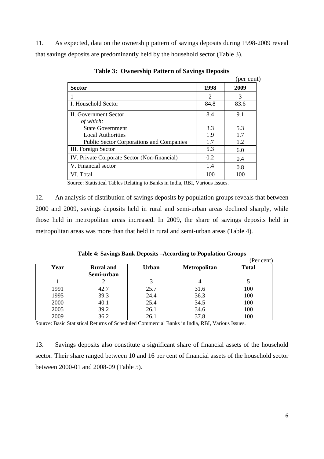11. As expected, data on the ownership pattern of savings deposits during 1998-2009 reveal that savings deposits are predominantly held by the household sector (Table 3).

|                                                 |      | (per cent) |
|-------------------------------------------------|------|------------|
| <b>Sector</b>                                   | 1998 | 2009       |
|                                                 | 2    | 3          |
| I. Household Sector                             | 84.8 | 83.6       |
| <b>II.</b> Government Sector                    | 8.4  | 9.1        |
| of which:                                       |      |            |
| <b>State Government</b>                         | 3.3  | 5.3        |
| <b>Local Authorities</b>                        | 1.9  | 1.7        |
| <b>Public Sector Corporations and Companies</b> | 1.7  | 1.2        |
| III. Foreign Sector                             | 5.3  | 6.0        |
| IV. Private Corporate Sector (Non-financial)    | 0.2  | 0.4        |
| V. Financial sector                             | 1.4  | 0.8        |
| VI. Total                                       | 100  | 100        |

**Table 3: Ownership Pattern of Savings Deposits** 

Source: Statistical Tables Relating to Banks in India, RBI, Various Issues.

12. An analysis of distribution of savings deposits by population groups reveals that between 2000 and 2009, savings deposits held in rural and semi-urban areas declined sharply, while those held in metropolitan areas increased. In 2009, the share of savings deposits held in metropolitan areas was more than that held in rural and semi-urban areas (Table 4).

|  |  | Table 4: Savings Bank Deposits - According to Population Groups |  |  |
|--|--|-----------------------------------------------------------------|--|--|
|  |  |                                                                 |  |  |

|      |                  |       |                     | (Per cent)   |
|------|------------------|-------|---------------------|--------------|
| Year | <b>Rural</b> and | Urban | <b>Metropolitan</b> | <b>Total</b> |
|      | Semi-urban       |       |                     |              |
|      |                  |       |                     |              |
| 1991 | 42.7             | 25.7  | 31.6                | 100          |
| 1995 | 39.3             | 24.4  | 36.3                | 100          |
| 2000 | 40.1             | 25.4  | 34.5                | 100          |
| 2005 | 39.2             | 26.1  | 34.6                | 100          |
| 2009 | 36.2             | 26.1  | 37.8                | 100          |

Source: Basic Statistical Returns of Scheduled Commercial Banks in India, RBI, Various Issues.

13. Savings deposits also constitute a significant share of financial assets of the household sector. Their share ranged between 10 and 16 per cent of financial assets of the household sector between 2000-01 and 2008-09 (Table 5).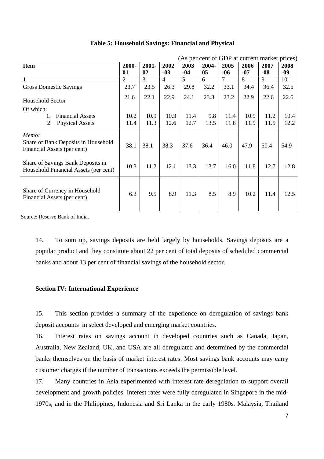| (As per cent of GDP at current market prices)                               |       |          |                |       |       |       |       |       |       |
|-----------------------------------------------------------------------------|-------|----------|----------------|-------|-------|-------|-------|-------|-------|
| <b>Item</b>                                                                 | 2000- | $2001 -$ | 2002           | 2003  | 2004- | 2005  | 2006  | 2007  | 2008  |
|                                                                             | 01    | 02       | $-03$          | $-04$ | 05    | $-06$ | $-07$ | $-08$ | $-09$ |
|                                                                             | 2     | 3        | $\overline{4}$ | 5     | 6     | 7     | 8     | 9     | 10    |
| <b>Gross Domestic Savings</b>                                               | 23.7  | 23.5     | 26.3           | 29.8  | 32.2  | 33.1  | 34.4  | 36.4  | 32.5  |
| <b>Household Sector</b>                                                     | 21.6  | 22.1     | 22.9           | 24.1  | 23.3  | 23.2  | 22.9  | 22.6  | 22.6  |
| Of which:                                                                   |       |          |                |       |       |       |       |       |       |
| <b>Financial Assets</b><br>1.                                               | 10.2  | 10.9     | 10.3           | 11.4  | 9.8   | 11.4  | 10.9  | 11.2  | 10.4  |
| 2.<br><b>Physical Assets</b>                                                | 11.4  | 11.3     | 12.6           | 12.7  | 13.5  | 11.8  | 11.9  | 11.5  | 12.2  |
| Memo:<br>Share of Bank Deposits in Household<br>Financial Assets (per cent) | 38.1  | 38.1     | 38.3           | 37.6  | 36.4  | 46.0  | 47.9  | 50.4  | 54.9  |
| Share of Savings Bank Deposits in<br>Household Financial Assets (per cent)  | 10.3  | 11.2     | 12.1           | 13.3  | 13.7  | 16.0  | 11.8  | 12.7  | 12.8  |
| Share of Currency in Household<br>Financial Assets (per cent)               | 6.3   | 9.5      | 8.9            | 11.3  | 8.5   | 8.9   | 10.2  | 11.4  | 12.5  |

# **Table 5: Household Savings: Financial and Physical**

Source: Reserve Bank of India.

14. To sum up, savings deposits are held largely by households. Savings deposits are a popular product and they constitute about 22 per cent of total deposits of scheduled commercial banks and about 13 per cent of financial savings of the household sector.

# **Section IV: International Experience**

15. This section provides a summary of the experience on deregulation of savings bank deposit accounts in select developed and emerging market countries.

16. Interest rates on savings account in developed countries such as Canada, Japan, Australia, New Zealand, UK, and USA are all deregulated and determined by the commercial banks themselves on the basis of market interest rates. Most savings bank accounts may carry customer charges if the number of transactions exceeds the permissible level.

17. Many countries in Asia experimented with interest rate deregulation to support overall development and growth policies. Interest rates were fully deregulated in Singapore in the mid-1970s, and in the Philippines, Indonesia and Sri Lanka in the early 1980s. Malaysia, Thailand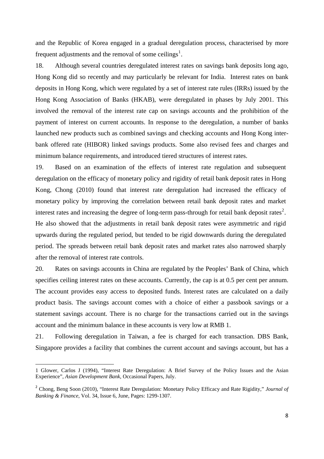and the Republic of Korea engaged in a gradual deregulation process, characterised by more frequent adjustments and the removal of some ceilings<sup>[1](#page-7-0)</sup>.

18. Although several countries deregulated interest rates on savings bank deposits long ago, Hong Kong did so recently and may particularly be relevant for India. Interest rates on bank deposits in Hong Kong, which were regulated by a set of interest rate rules (IRRs) issued by the Hong Kong Association of Banks (HKAB), were deregulated in phases by July 2001. This involved the removal of the interest rate cap on savings accounts and the prohibition of the payment of interest on current accounts. In response to the deregulation, a number of banks launched new products such as combined savings and checking accounts and Hong Kong interbank offered rate (HIBOR) linked savings products. Some also revised fees and charges and minimum balance requirements, and introduced tiered structures of interest rates.

19. Based on an examination of the effects of interest rate regulation and subsequent deregulation on the efficacy of monetary policy and rigidity of retail bank deposit rates in Hong Kong, Chong (2010) found that interest rate deregulation had increased the efficacy of monetary policy by improving the correlation between retail bank deposit rates and market interest rates and increasing the degree of long-term pass-through for retail bank deposit rates<sup>[2](#page-7-1)</sup>. He also showed that the adjustments in retail bank deposit rates were asymmetric and rigid upwards during the regulated period, but tended to be rigid downwards during the deregulated period. The spreads between retail bank deposit rates and market rates also narrowed sharply after the removal of interest rate controls.

20. Rates on savings accounts in China are regulated by the Peoples' Bank of China, which specifies ceiling interest rates on these accounts. Currently, the cap is at 0.5 per cent per annum. The account provides easy access to deposited funds. Interest rates are calculated on a daily product basis. The savings account comes with a choice of either a passbook savings or a statement savings account. There is no charge for the transactions carried out in the savings account and the minimum balance in these accounts is very low at RMB 1.

21. Following deregulation in Taiwan, a fee is charged for each transaction. DBS Bank, Singapore provides a facility that combines the current account and savings account, but has a

<span id="page-7-0"></span><sup>1</sup> Glower, Carlos J (1994), "Interest Rate Deregulation: A Brief Survey of the Policy Issues and the Asian Experience", *Asian Development Bank*, Occasional Papers, July.

<span id="page-7-1"></span><sup>2</sup> Chong, Beng Soon (2010), "Interest Rate Deregulation: Monetary Policy Efficacy and Rate Rigidity," *Journal of Banking & Finance*, Vol. 34, Issue 6, June, Pages: 1299-1307.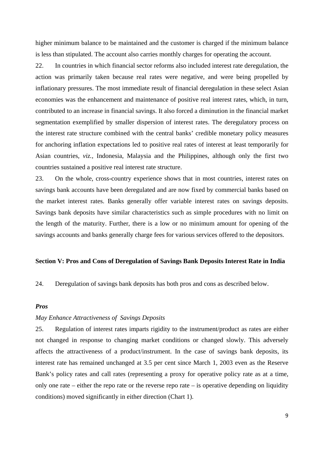higher minimum balance to be maintained and the customer is charged if the minimum balance is less than stipulated. The account also carries monthly charges for operating the account.

22. In countries in which financial sector reforms also included interest rate deregulation, the action was primarily taken because real rates were negative, and were being propelled by inflationary pressures. The most immediate result of financial deregulation in these select Asian economies was the enhancement and maintenance of positive real interest rates, which, in turn, contributed to an increase in financial savings. It also forced a diminution in the financial market segmentation exemplified by smaller dispersion of interest rates. The deregulatory process on the interest rate structure combined with the central banks' credible monetary policy measures for anchoring inflation expectations led to positive real rates of interest at least temporarily for Asian countries, *viz.,* Indonesia, Malaysia and the Philippines, although only the first two countries sustained a positive real interest rate structure.

23. On the whole, cross-country experience shows that in most countries, interest rates on savings bank accounts have been deregulated and are now fixed by commercial banks based on the market interest rates. Banks generally offer variable interest rates on savings deposits. Savings bank deposits have similar characteristics such as simple procedures with no limit on the length of the maturity. Further, there is a low or no minimum amount for opening of the savings accounts and banks generally charge fees for various services offered to the depositors.

#### **Section V: Pros and Cons of Deregulation of Savings Bank Deposits Interest Rate in India**

24. Deregulation of savings bank deposits has both pros and cons as described below.

## *Pros*

# *May Enhance Attractiveness of Savings Deposits*

25. Regulation of interest rates imparts rigidity to the instrument/product as rates are either not changed in response to changing market conditions or changed slowly. This adversely affects the attractiveness of a product/instrument. In the case of savings bank deposits, its interest rate has remained unchanged at 3.5 per cent since March 1, 2003 even as the Reserve Bank's policy rates and call rates (representing a proxy for operative policy rate as at a time, only one rate – either the repo rate or the reverse repo rate – is operative depending on liquidity conditions) moved significantly in either direction (Chart 1).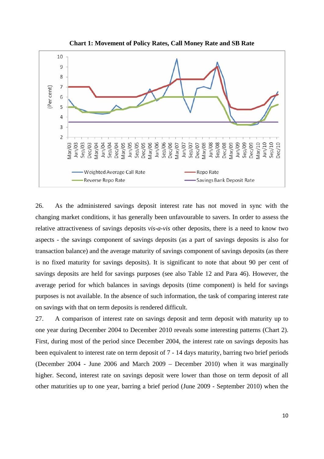

**Chart 1: Movement of Policy Rates, Call Money Rate and SB Rate** 

26. As the administered savings deposit interest rate has not moved in sync with the changing market conditions, it has generally been unfavourable to savers. In order to assess the relative attractiveness of savings deposits *vis-a-vis* other deposits, there is a need to know two aspects - the savings component of savings deposits (as a part of savings deposits is also for transaction balance) and the average maturity of savings component of savings deposits (as there is no fixed maturity for savings deposits). It is significant to note that about 90 per cent of savings deposits are held for savings purposes (see also Table 12 and Para 46). However, the average period for which balances in savings deposits (time component) is held for savings purposes is not available. In the absence of such information, the task of comparing interest rate on savings with that on term deposits is rendered difficult.

27. A comparison of interest rate on savings deposit and term deposit with maturity up to one year during December 2004 to December 2010 reveals some interesting patterns (Chart 2). First, during most of the period since December 2004, the interest rate on savings deposits has been equivalent to interest rate on term deposit of 7 - 14 days maturity, barring two brief periods (December 2004 - June 2006 and March 2009 – December 2010) when it was marginally higher. Second, interest rate on savings deposit were lower than those on term deposit of all other maturities up to one year, barring a brief period (June 2009 - September 2010) when the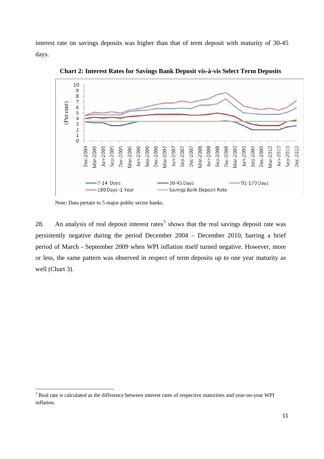interest rate on savings deposits was higher than that of term deposit with maturity of 30-45 days.



**Chart 2: Interest Rates for Savings Bank Deposit vis-à-vis Select Term Deposits** 

Note: Data pertain to 5 major public sector banks.

28. An analysis of real deposit interest rates<sup>[3](#page-10-0)</sup> shows that the real savings deposit rate was persistently negative during the period December 2004 – December 2010, barring a brief period of March - September 2009 when WPI inflation itself turned negative. However, more or less, the same pattern was observed in respect of term deposits up to one year maturity as well (Chart 3).

<span id="page-10-0"></span><sup>&</sup>lt;sup>3</sup> Real rate is calculated as the difference between interest rates of respective maturities and year-on-year WPI inflation.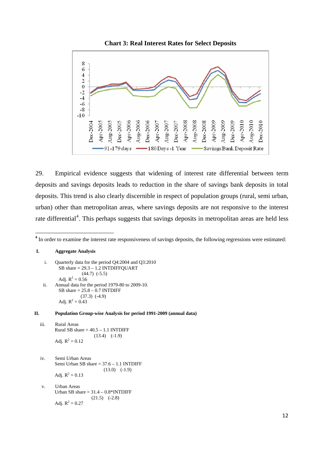

29. Empirical evidence suggests that widening of interest rate differential between term deposits and savings deposits leads to reduction in the share of savings bank deposits in total deposits. This trend is also clearly discernible in respect of population groups (rural, semi urban, urban) other than metropolitan areas, where savings deposits are not responsive to the interest rate differential<sup>[4](#page-11-0)</sup>. This perhaps suggests that savings deposits in metropolitan areas are held less

#### **I. Aggregate Analysis**

i. Quarterly data for the period Q4:2004 and Q3:2010 SB share  $= 29.3 - 1.2$  INTDIFFQUART (44.7) (-5.5) Adj.  $R^2 = 0.56$ ii. Annual data for the period 1979-80 to 2009-10. SB share  $= 25.8 - 0.7$  INTDIFF (37.3) (-4.9) Adj.  $R^2 = 0.43$ 

#### **II. Population Group-wise Analysis for period 1991-2009 (annual data)**

- iii. Rural Areas Rural SB share  $= 40.5 - 1.1$  INTDIFF  $(13.4)$   $(-1.9)$ Adj.  $R^2 = 0.12$
- iv. Semi Urban Areas Semi Urban SB share = 37.6 – 1.1 INTDIFF  $(13.0)$   $(-1.9)$ Adj.  $R^2 = 0.13$
- v. Urban Areas Urban SB share  $= 31.4 - 0.8*$ INTDIFF  $(21.5)$   $(-2.8)$ Adj.  $R^2 = 0.27$

<span id="page-11-0"></span><sup>&</sup>lt;sup>4</sup> In order to examine the interest rate responsiveness of savings deposits, the following regressions were estimated: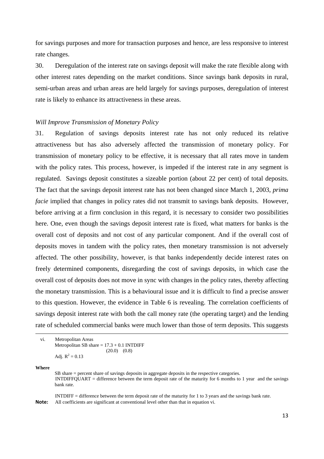for savings purposes and more for transaction purposes and hence, are less responsive to interest rate changes.

30. Deregulation of the interest rate on savings deposit will make the rate flexible along with other interest rates depending on the market conditions. Since savings bank deposits in rural, semi-urban areas and urban areas are held largely for savings purposes, deregulation of interest rate is likely to enhance its attractiveness in these areas.

## *Will Improve Transmission of Monetary Policy*

31. Regulation of savings deposits interest rate has not only reduced its relative attractiveness but has also adversely affected the transmission of monetary policy. For transmission of monetary policy to be effective, it is necessary that all rates move in tandem with the policy rates. This process, however, is impeded if the interest rate in any segment is regulated. Savings deposit constitutes a sizeable portion (about 22 per cent) of total deposits. The fact that the savings deposit interest rate has not been changed since March 1, 2003, *prima facie* implied that changes in policy rates did not transmit to savings bank deposits. However, before arriving at a firm conclusion in this regard, it is necessary to consider two possibilities here. One, even though the savings deposit interest rate is fixed, what matters for banks is the overall cost of deposits and not cost of any particular component. And if the overall cost of deposits moves in tandem with the policy rates, then monetary transmission is not adversely affected. The other possibility, however, is that banks independently decide interest rates on freely determined components, disregarding the cost of savings deposits, in which case the overall cost of deposits does not move in sync with changes in the policy rates, thereby affecting the monetary transmission. This is a behavioural issue and it is difficult to find a precise answer to this question. However, the evidence in Table 6 is revealing. The correlation coefficients of savings deposit interest rate with both the call money rate (the operating target) and the lending rate of scheduled commercial banks were much lower than those of term deposits. This suggests

**Where** 

SB share = percent share of savings deposits in aggregate deposits in the respective categories. INTDIFFQUART = difference between the term deposit rate of the maturity for 6 months to 1 year and the savings bank rate.

<u> Andreas Andreas Andreas Andreas Andreas Andreas Andreas Andreas Andreas Andreas Andreas Andreas Andreas Andr</u>

INTDIFF = difference between the term deposit rate of the maturity for 1 to 3 years and the savings bank rate. **Note:** All coefficients are significant at conventional level other than that in equation vi.

vi. Metropolitan Areas Metropolitan SB share  $= 17.3 + 0.1$  INTDIFF  $(20.0)$   $(0.8)$ Adj.  $R^2 = 0.13$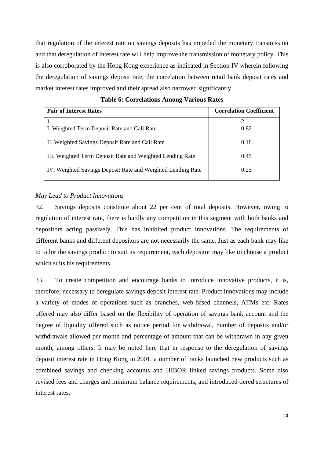that regulation of the interest rate on savings deposits has impeded the monetary transmission and that deregulation of interest rate will help improve the transmission of monetary policy. This is also corroborated by the Hong Kong experience as indicated in Section IV wherein following the deregulation of savings deposit rate, the correlation between retail bank deposit rates and market interest rates improved and their spread also narrowed significantly.

| <b>Pair of Interest Rates</b>                               | <b>Correlation Coefficient</b> |
|-------------------------------------------------------------|--------------------------------|
|                                                             | 2                              |
| I. Weighted Term Deposit Rate and Call Rate                 | 0.82                           |
| II. Weighted Savings Deposit Rate and Call Rate             | 0.18                           |
| III. Weighted Term Deposit Rate and Weighted Lending Rate   | 0.45                           |
| IV. Weighted Savings Deposit Rate and Weighted Lending Rate | 0.23                           |

**Table 6: Correlations Among Various Rates** 

# *May Lead to Product Innovations*

32. Savings deposits constitute about 22 per cent of total deposits. However, owing to regulation of interest rate, there is hardly any competition in this segment with both banks and depositors acting passively. This has inhibited product innovations. The requirements of different banks and different depositors are not necessarily the same. Just as each bank may like to tailor the savings product to suit its requirement, each depositor may like to choose a product which suits his requirements.

33. To create competition and encourage banks to introduce innovative products, it is, therefore, necessary to deregulate savings deposit interest rate. Product innovations may include a variety of modes of operations such as branches, web-based channels, ATMs etc. Rates offered may also differ based on the flexibility of operation of savings bank account and the degree of liquidity offered such as notice period for withdrawal, number of deposits and/or withdrawals allowed per month and percentage of amount that can be withdrawn in any given month, among others. It may be noted here that in response to the deregulation of savings deposit interest rate in Hong Kong in 2001, a number of banks launched new products such as combined savings and checking accounts and HIBOR linked savings products. Some also revised fees and charges and minimum balance requirements, and introduced tiered structures of interest rates.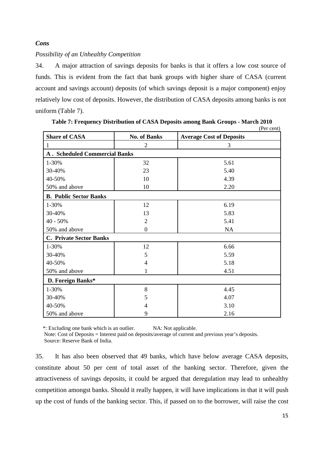# *Cons*

# *Possibility of an Unhealthy Competition*

34. A major attraction of savings deposits for banks is that it offers a low cost source of funds. This is evident from the fact that bank groups with higher share of CASA (current account and savings account) deposits (of which savings deposit is a major component) enjoy relatively low cost of deposits. However, the distribution of CASA deposits among banks is not uniform (Table 7).

|                                      |                     | (Per cent)                      |
|--------------------------------------|---------------------|---------------------------------|
| <b>Share of CASA</b>                 | <b>No. of Banks</b> | <b>Average Cost of Deposits</b> |
|                                      | $\overline{c}$      | 3                               |
| <b>A. Scheduled Commercial Banks</b> |                     |                                 |
| 1-30%                                | 32                  | 5.61                            |
| 30-40%                               | 23                  | 5.40                            |
| 40-50%                               | 10                  | 4.39                            |
| 50% and above                        | 10                  | 2.20                            |
| <b>B. Public Sector Banks</b>        |                     |                                 |
| 1-30%                                | 12                  | 6.19                            |
| 30-40%                               | 13                  | 5.83                            |
| $40 - 50%$                           | $\overline{2}$      | 5.41                            |
| 50% and above                        | $\mathbf{0}$        | <b>NA</b>                       |
| <b>C. Private Sector Banks</b>       |                     |                                 |
| 1-30%                                | 12                  | 6.66                            |
| 30-40%                               | 5                   | 5.59                            |
| 40-50%                               | $\overline{4}$      | 5.18                            |
| 50% and above                        | 1                   | 4.51                            |
| D. Foreign Banks*                    |                     |                                 |
| 1-30%                                | 8                   | 4.45                            |
| 30-40%                               | 5                   | 4.07                            |
| 40-50%                               | 4                   | 3.10                            |
| 50% and above                        | 9                   | 2.16                            |

**Table 7: Frequency Distribution of CASA Deposits among Bank Groups - March 2010**

\*: Excluding one bank which is an outlier. NA: Not applicable.

 Note: Cost of Deposits = Interest paid on deposits/average of current and previous year's deposits. Source: Reserve Bank of India.

35. It has also been observed that 49 banks, which have below average CASA deposits, constitute about 50 per cent of total asset of the banking sector. Therefore, given the attractiveness of savings deposits, it could be argued that deregulation may lead to unhealthy competition amongst banks. Should it really happen, it will have implications in that it will push up the cost of funds of the banking sector. This, if passed on to the borrower, will raise the cost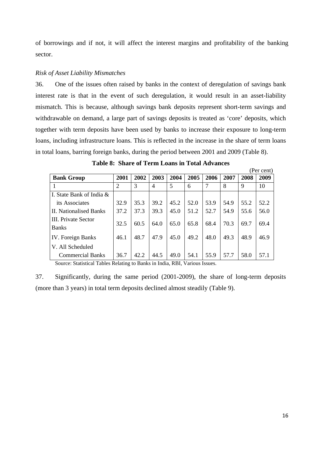of borrowings and if not, it will affect the interest margins and profitability of the banking sector.

# *Risk of Asset Liability Mismatches*

36. One of the issues often raised by banks in the context of deregulation of savings bank interest rate is that in the event of such deregulation, it would result in an asset-liability mismatch. This is because, although savings bank deposits represent short-term savings and withdrawable on demand, a large part of savings deposits is treated as 'core' deposits, which together with term deposits have been used by banks to increase their exposure to long-term loans, including infrastructure loans. This is reflected in the increase in the share of term loans in total loans, barring foreign banks, during the period between 2001 and 2009 (Table 8).

|                                     |                |      |      |      |      |      |      |      | (Per cent) |
|-------------------------------------|----------------|------|------|------|------|------|------|------|------------|
| <b>Bank Group</b>                   | 2001           | 2002 | 2003 | 2004 | 2005 | 2006 | 2007 | 2008 | 2009       |
|                                     | $\overline{2}$ | 3    | 4    | 5    | 6    | 7    | 8    | 9    | 10         |
| I. State Bank of India $\&$         |                |      |      |      |      |      |      |      |            |
| its Associates                      | 32.9           | 35.3 | 39.2 | 45.2 | 52.0 | 53.9 | 54.9 | 55.2 | 52.2       |
| <b>II.</b> Nationalised Banks       | 37.2           | 37.3 | 39.3 | 45.0 | 51.2 | 52.7 | 54.9 | 55.6 | 56.0       |
| III. Private Sector<br><b>Banks</b> | 32.5           | 60.5 | 64.0 | 65.0 | 65.8 | 68.4 | 70.3 | 69.7 | 69.4       |
| IV. Foreign Banks                   | 46.1           | 48.7 | 47.9 | 45.0 | 49.2 | 48.0 | 49.3 | 48.9 | 46.9       |
| V. All Scheduled                    |                |      |      |      |      |      |      |      |            |
| <b>Commercial Banks</b>             | 36.7           | 42.2 | 44.5 | 49.0 | 54.1 | 55.9 | 57.7 | 58.0 | 57.1       |

**Table 8: Share of Term Loans in Total Advances** 

Source: Statistical Tables Relating to Banks in India, RBI, Various Issues.

37. Significantly, during the same period (2001-2009), the share of long-term deposits (more than 3 years) in total term deposits declined almost steadily (Table 9).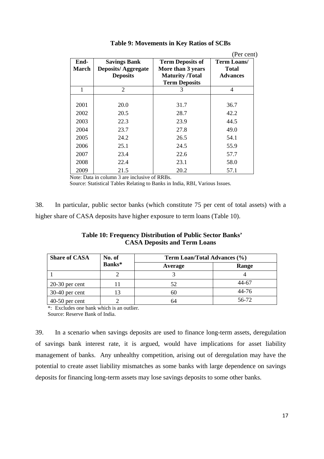|               |                                                                     |                                                                                                | (Per cent)                                     |
|---------------|---------------------------------------------------------------------|------------------------------------------------------------------------------------------------|------------------------------------------------|
| End-<br>March | <b>Savings Bank</b><br><b>Deposits/Aggregate</b><br><b>Deposits</b> | <b>Term Deposits of</b><br>More than 3 years<br><b>Maturity</b> /Total<br><b>Term Deposits</b> | Term Loans/<br><b>Total</b><br><b>Advances</b> |
| 1             | $\mathcal{D}_{\mathcal{L}}$                                         | 3                                                                                              | 4                                              |
|               |                                                                     |                                                                                                |                                                |
| 2001          | 20.0                                                                | 31.7                                                                                           | 36.7                                           |
| 2002          | 20.5                                                                | 28.7                                                                                           | 42.2                                           |
| 2003          | 22.3                                                                | 23.9                                                                                           | 44.5                                           |
| 2004          | 23.7                                                                | 27.8                                                                                           | 49.0                                           |
| 2005          | 24.2                                                                | 26.5                                                                                           | 54.1                                           |
| 2006          | 25.1                                                                | 24.5                                                                                           | 55.9                                           |
| 2007          | 23.4                                                                | 22.6                                                                                           | 57.7                                           |
| 2008          | 22.4                                                                | 23.1                                                                                           | 58.0                                           |
| 2009          | 21.5                                                                | 20.2                                                                                           | 57.1                                           |

| Table 9: Movements in Key Ratios of SCBs |  |
|------------------------------------------|--|
|------------------------------------------|--|

Note: Data in column 3 are inclusive of RRBs.

Source: Statistical Tables Relating to Banks in India, RBI, Various Issues.

38. In particular, public sector banks (which constitute 75 per cent of total assets) with a higher share of CASA deposits have higher exposure to term loans (Table 10).

| <b>Table 10: Frequency Distribution of Public Sector Banks'</b> |
|-----------------------------------------------------------------|
| <b>CASA Deposits and Term Loans</b>                             |

| <b>Share of CASA</b> | No. of | Term Loan/Total Advances (%) |       |  |
|----------------------|--------|------------------------------|-------|--|
|                      | Banks* | Average                      | Range |  |
|                      |        |                              |       |  |
| $20-30$ per cent     |        | 52                           | 44-67 |  |
| $30-40$ per cent     |        | hľ                           | 44-76 |  |
| $40-50$ per cent     |        |                              | 56-72 |  |

\*: Excludes one bank which is an outlier.

Source: Reserve Bank of India.

39. In a scenario when savings deposits are used to finance long-term assets, deregulation of savings bank interest rate, it is argued, would have implications for asset liability management of banks. Any unhealthy competition, arising out of deregulation may have the potential to create asset liability mismatches as some banks with large dependence on savings deposits for financing long-term assets may lose savings deposits to some other banks.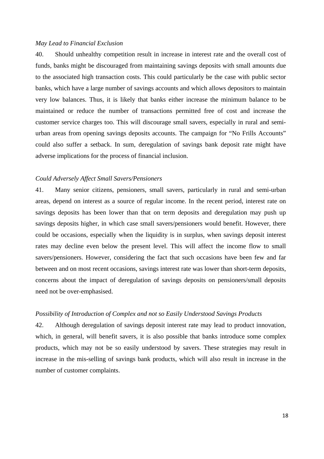# *May Lead to Financial Exclusion*

40. Should unhealthy competition result in increase in interest rate and the overall cost of funds, banks might be discouraged from maintaining savings deposits with small amounts due to the associated high transaction costs. This could particularly be the case with public sector banks, which have a large number of savings accounts and which allows depositors to maintain very low balances. Thus, it is likely that banks either increase the minimum balance to be maintained or reduce the number of transactions permitted free of cost and increase the customer service charges too. This will discourage small savers, especially in rural and semiurban areas from opening savings deposits accounts. The campaign for "No Frills Accounts" could also suffer a setback. In sum, deregulation of savings bank deposit rate might have adverse implications for the process of financial inclusion.

## *Could Adversely Affect Small Savers/Pensioners*

41. Many senior citizens, pensioners, small savers, particularly in rural and semi-urban areas, depend on interest as a source of regular income. In the recent period, interest rate on savings deposits has been lower than that on term deposits and deregulation may push up savings deposits higher, in which case small savers/pensioners would benefit. However, there could be occasions, especially when the liquidity is in surplus, when savings deposit interest rates may decline even below the present level. This will affect the income flow to small savers/pensioners. However, considering the fact that such occasions have been few and far between and on most recent occasions, savings interest rate was lower than short-term deposits, concerns about the impact of deregulation of savings deposits on pensioners/small deposits need not be over-emphasised.

# *Possibility of Introduction of Complex and not so Easily Understood Savings Products*

42. Although deregulation of savings deposit interest rate may lead to product innovation, which, in general, will benefit savers, it is also possible that banks introduce some complex products, which may not be so easily understood by savers. These strategies may result in increase in the mis-selling of savings bank products, which will also result in increase in the number of customer complaints.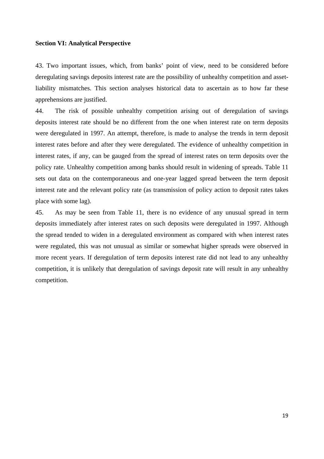#### **Section VI: Analytical Perspective**

43. Two important issues, which, from banks' point of view, need to be considered before deregulating savings deposits interest rate are the possibility of unhealthy competition and assetliability mismatches. This section analyses historical data to ascertain as to how far these apprehensions are justified.

44. The risk of possible unhealthy competition arising out of deregulation of savings deposits interest rate should be no different from the one when interest rate on term deposits were deregulated in 1997. An attempt, therefore, is made to analyse the trends in term deposit interest rates before and after they were deregulated. The evidence of unhealthy competition in interest rates, if any, can be gauged from the spread of interest rates on term deposits over the policy rate. Unhealthy competition among banks should result in widening of spreads. Table 11 sets out data on the contemporaneous and one-year lagged spread between the term deposit interest rate and the relevant policy rate (as transmission of policy action to deposit rates takes place with some lag).

45. As may be seen from Table 11, there is no evidence of any unusual spread in term deposits immediately after interest rates on such deposits were deregulated in 1997. Although the spread tended to widen in a deregulated environment as compared with when interest rates were regulated, this was not unusual as similar or somewhat higher spreads were observed in more recent years. If deregulation of term deposits interest rate did not lead to any unhealthy competition, it is unlikely that deregulation of savings deposit rate will result in any unhealthy competition.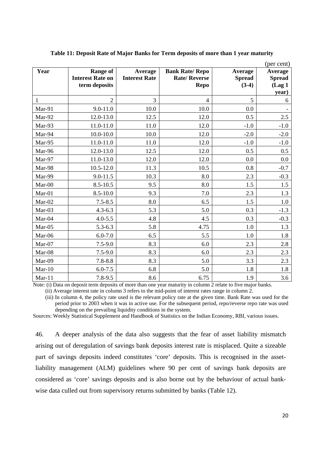| Year         | <b>Range of</b><br><b>Interest Rate on</b> | Average<br><b>Interest Rate</b> | <b>Bank Rate/ Repo</b><br><b>Rate/Reverse</b> | Average<br><b>Spread</b> | (per cent)<br>Average<br><b>Spread</b> |
|--------------|--------------------------------------------|---------------------------------|-----------------------------------------------|--------------------------|----------------------------------------|
|              | term deposits                              |                                 | <b>Repo</b>                                   | $(3-4)$                  | (Lag <sub>1</sub> )<br>year)           |
| $\mathbf{1}$ | $\overline{2}$                             | 3                               | $\overline{4}$                                | 5                        | 6                                      |
| Mar-91       | $9.0 - 11.0$                               | 10.0                            | 10.0                                          | 0.0                      |                                        |
| Mar-92       | 12.0-13.0                                  | 12.5                            | 12.0                                          | 0.5                      | 2.5                                    |
| Mar-93       | 11.0-11.0                                  | 11.0                            | 12.0                                          | $-1.0$                   | $-1.0$                                 |
| Mar-94       | $10.0 - 10.0$                              | 10.0                            | 12.0                                          | $-2.0$                   | $-2.0$                                 |
| Mar-95       | 11.0-11.0                                  | 11.0                            | 12.0                                          | $-1.0$                   | $-1.0$                                 |
| Mar-96       | 12.0-13.0                                  | 12.5                            | 12.0                                          | 0.5                      | 0.5                                    |
| Mar-97       | 11.0-13.0                                  | 12.0                            | 12.0                                          | 0.0                      | 0.0                                    |
| Mar-98       | $10.5 - 12.0$                              | 11.3                            | 10.5                                          | 0.8                      | $-0.7$                                 |
| Mar-99       | 9.0-11.5                                   | 10.3                            | 8.0                                           | 2.3                      | $-0.3$                                 |
| Mar-00       | $8.5 - 10.5$                               | 9.5                             | 8.0                                           | 1.5                      | 1.5                                    |
| $Mar-01$     | $8.5 - 10.0$                               | 9.3                             | 7.0                                           | 2.3                      | 1.3                                    |
| Mar-02       | $7.5 - 8.5$                                | 8.0                             | 6.5                                           | 1.5                      | 1.0                                    |
| Mar-03       | $4.3 - 6.3$                                | 5.3                             | 5.0                                           | 0.3                      | $-1.3$                                 |
| Mar-04       | $4.0 - 5.5$                                | 4.8                             | 4.5                                           | 0.3                      | $-0.3$                                 |
| Mar-05       | $5.3 - 6.3$                                | 5.8                             | 4.75                                          | 1.0                      | 1.3                                    |
| Mar-06       | $6.0 - 7.0$                                | 6.5                             | 5.5                                           | 1.0                      | 1.8                                    |
| Mar-07       | $7.5 - 9.0$                                | 8.3                             | 6.0                                           | 2.3                      | 2.8                                    |
| Mar-08       | $7.5 - 9.0$                                | 8.3                             | 6.0                                           | 2.3                      | 2.3                                    |
| Mar-09       | $7.8 - 8.8$                                | 8.3                             | 5.0                                           | 3.3                      | 2.3                                    |
| $Mar-10$     | $6.0 - 7.5$                                | 6.8                             | 5.0                                           | 1.8                      | 1.8                                    |
| $Mar-11$     | $7.8 - 9.5$                                | 8.6                             | 6.75                                          | 1.9                      | 3.6                                    |

#### **Table 11: Deposit Rate of Major Banks for Term deposits of more than 1 year maturity**

Note: (i) Data on deposit term deposits of more than one year maturity in column 2 relate to five major banks.

(ii) Average interest rate in column 3 refers to the mid-point of interest rates range in column 2.

 (iii) In column 4, the policy rate used is the relevant policy rate at the given time. Bank Rate was used for the period prior to 2003 when it was in active use. For the subsequent period, repo/reverse repo rate was used depending on the prevailing liquidity conditions in the system.

Sources: Weekly Statistical Supplement and Handbook of Statistics on the Indian Economy, RBI, various issues.

46. A deeper analysis of the data also suggests that the fear of asset liability mismatch arising out of deregulation of savings bank deposits interest rate is misplaced. Quite a sizeable part of savings deposits indeed constitutes 'core' deposits. This is recognised in the assetliability management (ALM) guidelines where 90 per cent of savings bank deposits are considered as 'core' savings deposits and is also borne out by the behaviour of actual bankwise data culled out from supervisory returns submitted by banks (Table 12).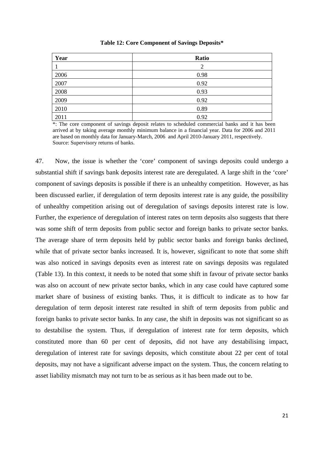| Year | Ratio |
|------|-------|
|      | 2     |
| 2006 | 0.98  |
| 2007 | 0.92  |
| 2008 | 0.93  |
| 2009 | 0.92  |
| 2010 | 0.89  |
| 2011 | 0.92  |

#### **Table 12: Core Component of Savings Deposits\***

\*: The core component of savings deposit relates to scheduled commercial banks and it has been arrived at by taking average monthly minimum balance in a financial year. Data for 2006 and 2011 are based on monthly data for January-March, 2006 and April 2010-January 2011, respectively. Source: Supervisory returns of banks.

47. Now, the issue is whether the 'core' component of savings deposits could undergo a substantial shift if savings bank deposits interest rate are deregulated. A large shift in the 'core' component of savings deposits is possible if there is an unhealthy competition. However, as has been discussed earlier, if deregulation of term deposits interest rate is any guide, the possibility of unhealthy competition arising out of deregulation of savings deposits interest rate is low. Further, the experience of deregulation of interest rates on term deposits also suggests that there was some shift of term deposits from public sector and foreign banks to private sector banks. The average share of term deposits held by public sector banks and foreign banks declined, while that of private sector banks increased. It is, however, significant to note that some shift was also noticed in savings deposits even as interest rate on savings deposits was regulated (Table 13). In this context, it needs to be noted that some shift in favour of private sector banks was also on account of new private sector banks, which in any case could have captured some market share of business of existing banks. Thus, it is difficult to indicate as to how far deregulation of term deposit interest rate resulted in shift of term deposits from public and foreign banks to private sector banks. In any case, the shift in deposits was not significant so as to destabilise the system. Thus, if deregulation of interest rate for term deposits, which constituted more than 60 per cent of deposits, did not have any destabilising impact, deregulation of interest rate for savings deposits, which constitute about 22 per cent of total deposits, may not have a significant adverse impact on the system. Thus, the concern relating to asset liability mismatch may not turn to be as serious as it has been made out to be.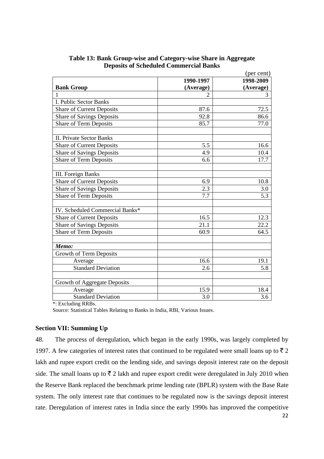|                                     |           | (per cent) |
|-------------------------------------|-----------|------------|
|                                     | 1990-1997 | 1998-2009  |
| <b>Bank Group</b>                   | (Average) | (Average)  |
| 1                                   |           | 3          |
| I. Public Sector Banks              |           |            |
| <b>Share of Current Deposits</b>    | 87.6      | 72.5       |
| <b>Share of Savings Deposits</b>    | 92.8      | 86.6       |
| Share of Term Deposits              | 85.7      | 77.0       |
|                                     |           |            |
| <b>II. Private Sector Banks</b>     |           |            |
| <b>Share of Current Deposits</b>    | 5.5       | 16.6       |
| <b>Share of Savings Deposits</b>    | 4.9       | 10.4       |
| Share of Term Deposits              | 6.6       | 17.7       |
|                                     |           |            |
| <b>III.</b> Foreign Banks           |           |            |
| <b>Share of Current Deposits</b>    | 6.9       | 10.8       |
| <b>Share of Savings Deposits</b>    | 2.3       | 3.0        |
| <b>Share of Term Deposits</b>       | 7.7       | 5.3        |
|                                     |           |            |
| IV. Scheduled Commercial Banks*     |           |            |
| <b>Share of Current Deposits</b>    | 16.5      | 12.3       |
| <b>Share of Savings Deposits</b>    | 21.1      | 22.2       |
| <b>Share of Term Deposits</b>       | 60.9      | 64.5       |
|                                     |           |            |
| Memo:                               |           |            |
| Growth of Term Deposits             |           |            |
| Average                             | 16.6      | 19.1       |
| <b>Standard Deviation</b>           | 2.6       | 5.8        |
|                                     |           |            |
| <b>Growth of Aggregate Deposits</b> |           |            |
| Average                             | 15.9      | 18.4       |
| <b>Standard Deviation</b>           | 3.0       | 3.6        |

**Table 13: Bank Group-wise and Category-wise Share in Aggregate Deposits of Scheduled Commercial Banks** 

\*: Excluding RRBs.

Source: Statistical Tables Relating to Banks in India, RBI, Various Issues.

# **Section VII: Summing Up**

48. The process of deregulation, which began in the early 1990s, was largely completed by 1997. A few categories of interest rates that continued to be regulated were small loans up to  $\bar{z}$  2 lakh and rupee export credit on the lending side, and savings deposit interest rate on the deposit side. The small loans up to  $\bar{\tau}$  2 lakh and rupee export credit were deregulated in July 2010 when the Reserve Bank replaced the benchmark prime lending rate (BPLR) system with the Base Rate system. The only interest rate that continues to be regulated now is the savings deposit interest rate. Deregulation of interest rates in India since the early 1990s has improved the competitive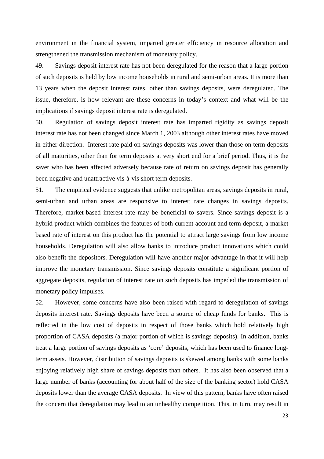environment in the financial system, imparted greater efficiency in resource allocation and strengthened the transmission mechanism of monetary policy.

49. Savings deposit interest rate has not been deregulated for the reason that a large portion of such deposits is held by low income households in rural and semi-urban areas. It is more than 13 years when the deposit interest rates, other than savings deposits, were deregulated. The issue, therefore, is how relevant are these concerns in today's context and what will be the implications if savings deposit interest rate is deregulated.

50. Regulation of savings deposit interest rate has imparted rigidity as savings deposit interest rate has not been changed since March 1, 2003 although other interest rates have moved in either direction. Interest rate paid on savings deposits was lower than those on term deposits of all maturities, other than for term deposits at very short end for a brief period. Thus, it is the saver who has been affected adversely because rate of return on savings deposit has generally been negative and unattractive vis-à-vis short term deposits.

51. The empirical evidence suggests that unlike metropolitan areas, savings deposits in rural, semi-urban and urban areas are responsive to interest rate changes in savings deposits. Therefore, market-based interest rate may be beneficial to savers. Since savings deposit is a hybrid product which combines the features of both current account and term deposit, a market based rate of interest on this product has the potential to attract large savings from low income households. Deregulation will also allow banks to introduce product innovations which could also benefit the depositors. Deregulation will have another major advantage in that it will help improve the monetary transmission. Since savings deposits constitute a significant portion of aggregate deposits, regulation of interest rate on such deposits has impeded the transmission of monetary policy impulses.

52. However, some concerns have also been raised with regard to deregulation of savings deposits interest rate. Savings deposits have been a source of cheap funds for banks. This is reflected in the low cost of deposits in respect of those banks which hold relatively high proportion of CASA deposits (a major portion of which is savings deposits). In addition, banks treat a large portion of savings deposits as 'core' deposits, which has been used to finance longterm assets. However, distribution of savings deposits is skewed among banks with some banks enjoying relatively high share of savings deposits than others. It has also been observed that a large number of banks (accounting for about half of the size of the banking sector) hold CASA deposits lower than the average CASA deposits. In view of this pattern, banks have often raised the concern that deregulation may lead to an unhealthy competition. This, in turn, may result in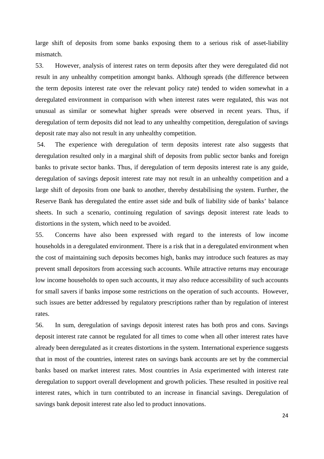large shift of deposits from some banks exposing them to a serious risk of asset-liability mismatch.

53. However, analysis of interest rates on term deposits after they were deregulated did not result in any unhealthy competition amongst banks. Although spreads (the difference between the term deposits interest rate over the relevant policy rate) tended to widen somewhat in a deregulated environment in comparison with when interest rates were regulated, this was not unusual as similar or somewhat higher spreads were observed in recent years. Thus, if deregulation of term deposits did not lead to any unhealthy competition, deregulation of savings deposit rate may also not result in any unhealthy competition.

 54. The experience with deregulation of term deposits interest rate also suggests that deregulation resulted only in a marginal shift of deposits from public sector banks and foreign banks to private sector banks. Thus, if deregulation of term deposits interest rate is any guide, deregulation of savings deposit interest rate may not result in an unhealthy competition and a large shift of deposits from one bank to another, thereby destabilising the system. Further, the Reserve Bank has deregulated the entire asset side and bulk of liability side of banks' balance sheets. In such a scenario, continuing regulation of savings deposit interest rate leads to distortions in the system, which need to be avoided.

55. Concerns have also been expressed with regard to the interests of low income households in a deregulated environment. There is a risk that in a deregulated environment when the cost of maintaining such deposits becomes high, banks may introduce such features as may prevent small depositors from accessing such accounts. While attractive returns may encourage low income households to open such accounts, it may also reduce accessibility of such accounts for small savers if banks impose some restrictions on the operation of such accounts. However, such issues are better addressed by regulatory prescriptions rather than by regulation of interest rates.

56. In sum, deregulation of savings deposit interest rates has both pros and cons. Savings deposit interest rate cannot be regulated for all times to come when all other interest rates have already been deregulated as it creates distortions in the system. International experience suggests that in most of the countries, interest rates on savings bank accounts are set by the commercial banks based on market interest rates. Most countries in Asia experimented with interest rate deregulation to support overall development and growth policies. These resulted in positive real interest rates, which in turn contributed to an increase in financial savings. Deregulation of savings bank deposit interest rate also led to product innovations.